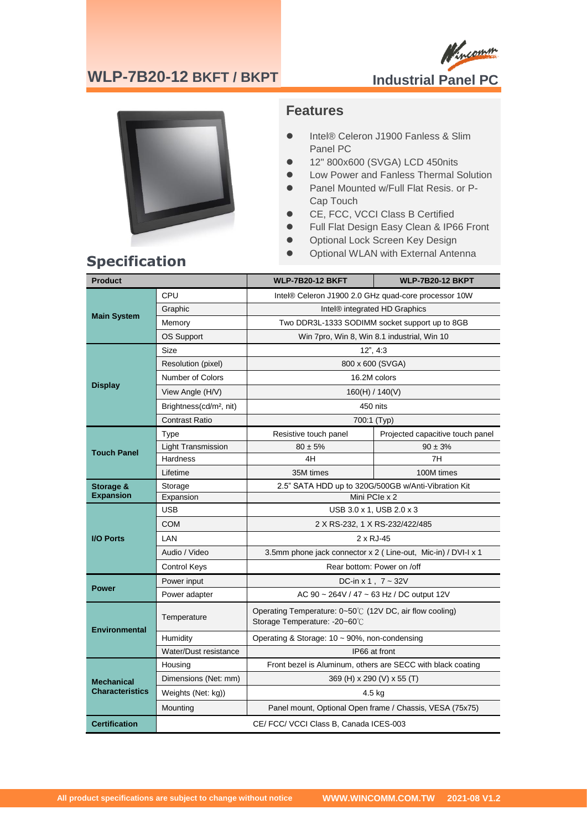### **WLP-7B20-12 BKFT / BKPT**





### **Features**

- ⚫ Intel® Celeron J1900 Fanless & Slim Panel PC
- ⚫ 12" 800x600 (SVGA) LCD 450nits
- ⚫ Low Power and Fanless Thermal Solution
- Panel Mounted w/Full Flat Resis. or P-Cap Touch
- CE, FCC, VCCI Class B Certified
- Full Flat Design Easy Clean & IP66 Front
- Optional Lock Screen Key Design
- **Specification** Optional WLAN with External Antenna **Specification**

| <b>Product</b>                              |                                        | <b>WLP-7B20-12 BKFT</b>                                                                  | <b>WLP-7B20-12 BKPT</b>          |
|---------------------------------------------|----------------------------------------|------------------------------------------------------------------------------------------|----------------------------------|
| <b>Main System</b>                          | CPU                                    | Intel® Celeron J1900 2.0 GHz quad-core processor 10W                                     |                                  |
|                                             | Graphic                                | Intel <sup>®</sup> integrated HD Graphics                                                |                                  |
|                                             | Memory                                 | Two DDR3L-1333 SODIMM socket support up to 8GB                                           |                                  |
|                                             | <b>OS Support</b>                      | Win 7pro, Win 8, Win 8.1 industrial, Win 10                                              |                                  |
| <b>Display</b>                              | Size                                   | $12$ ", $4:3$                                                                            |                                  |
|                                             | Resolution (pixel)                     | 800 x 600 (SVGA)                                                                         |                                  |
|                                             | Number of Colors                       | 16.2M colors                                                                             |                                  |
|                                             | View Angle (H/V)                       | 160(H) / 140(V)                                                                          |                                  |
|                                             | Brightness(cd/m <sup>2</sup> , nit)    | 450 nits                                                                                 |                                  |
|                                             | Contrast Ratio                         | 700:1 (Typ)                                                                              |                                  |
| <b>Touch Panel</b>                          | Type                                   | Resistive touch panel                                                                    | Projected capacitive touch panel |
|                                             | <b>Light Transmission</b>              | $80 \pm 5\%$                                                                             | $90 \pm 3%$                      |
|                                             | <b>Hardness</b>                        | 4H                                                                                       | 7H                               |
|                                             | Lifetime                               | 35M times                                                                                | 100M times                       |
| Storage &                                   | Storage                                | 2.5" SATA HDD up to 320G/500GB w/Anti-Vibration Kit                                      |                                  |
| <b>Expansion</b>                            | Expansion                              | Mini PCIe x 2                                                                            |                                  |
|                                             | <b>USB</b>                             | USB 3.0 x 1, USB 2.0 x 3                                                                 |                                  |
|                                             | <b>COM</b>                             | 2 X RS-232, 1 X RS-232/422/485                                                           |                                  |
| <b>I/O Ports</b>                            | LAN                                    | 2 x RJ-45                                                                                |                                  |
|                                             | Audio / Video                          | 3.5mm phone jack connector x 2 (Line-out, Mic-in) / DVI-I x 1                            |                                  |
|                                             | <b>Control Keys</b>                    | Rear bottom: Power on /off                                                               |                                  |
| <b>Power</b>                                | Power input                            | DC-in x 1, $7 - 32V$                                                                     |                                  |
|                                             | Power adapter                          | AC 90 ~ 264V / 47 ~ 63 Hz / DC output 12V                                                |                                  |
| <b>Environmental</b>                        | Temperature                            | Operating Temperature: 0~50℃ (12V DC, air flow cooling)<br>Storage Temperature: -20~60°C |                                  |
|                                             | Humidity                               | Operating & Storage: 10 ~ 90%, non-condensing                                            |                                  |
|                                             | Water/Dust resistance                  | IP66 at front                                                                            |                                  |
| <b>Mechanical</b><br><b>Characteristics</b> | Housing                                | Front bezel is Aluminum, others are SECC with black coating                              |                                  |
|                                             | Dimensions (Net: mm)                   | 369 (H) x 290 (V) x 55 (T)                                                               |                                  |
|                                             | Weights (Net: kg))                     | 4.5 kg                                                                                   |                                  |
|                                             | Mounting                               | Panel mount, Optional Open frame / Chassis, VESA (75x75)                                 |                                  |
| <b>Certification</b>                        | CE/ FCC/ VCCI Class B, Canada ICES-003 |                                                                                          |                                  |